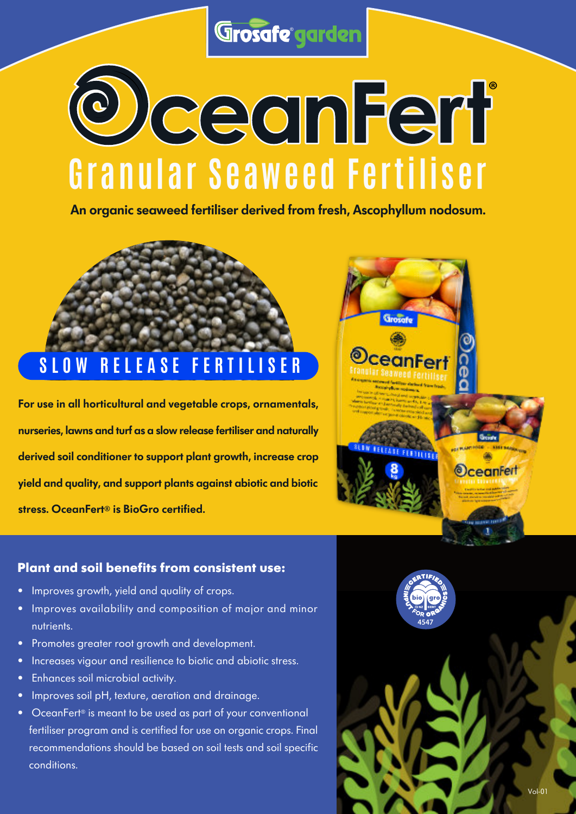Grosafe garden

# **G ranula r Seaweed Fe r tilise r ®**

An organic seaweed fertiliser derived from fresh, Ascophyllum nodosum.

## **S L O W R E L E A S E F E R T I L I S E R**

For use in all horticultural and vegetable crops, ornamentals, nurseries, lawns and turf as a slow release fertiliser and naturally derived soil conditioner to support plant growth, increase crop yield and quality, and support plants against abiotic and biotic stress. OceanFert® is BioGro certified.



### **Plant and soil benefits from consistent use:**

- Improves growth, yield and quality of crops.
- Improves availability and composition of major and minor • nutrients.
- Promotes greater root growth and development.
- Increases vigour and resilience to biotic and abiotic stress.
- Enhances soil microbial activity.
- Improves soil pH, texture, aeration and drainage.
- OceanFert<sup>®</sup> is meant to be used as part of your conventional fertiliser program and is certified for use on organic crops. Final • recommendations should be based on soil tests and soil specific • conditions.